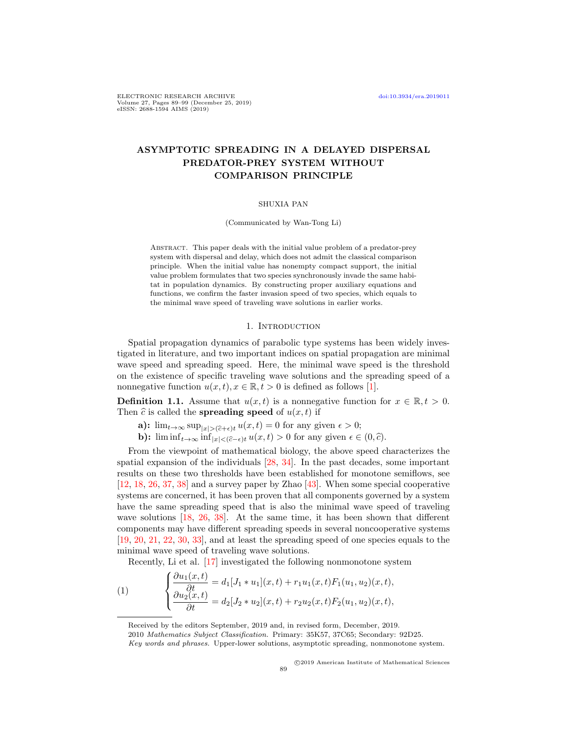ELECTRONIC RESEARCH ARCHIVE [doi:10.3934/era.2019011](http://dx.doi.org/10.3934/era.2019011) Volume 27, Pages 89–99 (December 25, 2019) eISSN: 2688-1594 AIMS (2019)

# ASYMPTOTIC SPREADING IN A DELAYED DISPERSAL PREDATOR-PREY SYSTEM WITHOUT COMPARISON PRINCIPLE

## SHUXIA PAN

(Communicated by Wan-Tong Li)

Abstract. This paper deals with the initial value problem of a predator-prey system with dispersal and delay, which does not admit the classical comparison principle. When the initial value has nonempty compact support, the initial value problem formulates that two species synchronously invade the same habitat in population dynamics. By constructing proper auxiliary equations and functions, we confirm the faster invasion speed of two species, which equals to the minimal wave speed of traveling wave solutions in earlier works.

## 1. Introduction

Spatial propagation dynamics of parabolic type systems has been widely investigated in literature, and two important indices on spatial propagation are minimal wave speed and spreading speed. Here, the minimal wave speed is the threshold on the existence of specific traveling wave solutions and the spreading speed of a nonnegative function  $u(x, t), x \in \mathbb{R}, t > 0$  is defined as follows [\[1\]](#page-8-0).

**Definition 1.1.** Assume that  $u(x, t)$  is a nonnegative function for  $x \in \mathbb{R}, t > 0$ . Then  $\hat{c}$  is called the **spreading speed** of  $u(x, t)$  if

- a):  $\lim_{t\to\infty} \sup_{|x| > (\hat{c}+\epsilon)t} u(x,t) = 0$  for any given  $\epsilon > 0$ ;
- **b):**  $\liminf_{t\to\infty} \inf_{|x|<(\widehat{c}-\epsilon)t} u(x,t) > 0$  for any given  $\epsilon \in (0,\widehat{c})$ .

From the viewpoint of mathematical biology, the above speed characterizes the spatial expansion of the individuals [\[28,](#page-9-0) [34\]](#page-9-1). In the past decades, some important results on these two thresholds have been established for monotone semiflows, see [\[12,](#page-9-2) [18,](#page-9-3) [26,](#page-9-4) [37,](#page-9-5) [38\]](#page-10-0) and a survey paper by Zhao [\[43\]](#page-10-1). When some special cooperative systems are concerned, it has been proven that all components governed by a system have the same spreading speed that is also the minimal wave speed of traveling wave solutions [\[18,](#page-9-3) [26,](#page-9-4) [38\]](#page-10-0). At the same time, it has been shown that different components may have different spreading speeds in several noncooperative systems [\[19,](#page-9-6) [20,](#page-9-7) [21,](#page-9-8) [22,](#page-9-9) [30,](#page-9-10) [33\]](#page-9-11), and at least the spreading speed of one species equals to the minimal wave speed of traveling wave solutions.

<span id="page-0-0"></span>Recently, Li et al. [\[17\]](#page-9-12) investigated the following nonmonotone system

(1) 
$$
\begin{cases} \frac{\partial u_1(x,t)}{\partial t} = d_1[J_1 * u_1](x,t) + r_1 u_1(x,t) F_1(u_1, u_2)(x,t), \\ \frac{\partial u_2(x,t)}{\partial t} = d_2[J_2 * u_2](x,t) + r_2 u_2(x,t) F_2(u_1, u_2)(x,t), \end{cases}
$$

Received by the editors September, 2019 and, in revised form, December, 2019.

<sup>2010</sup> Mathematics Subject Classification. Primary: 35K57, 37C65; Secondary: 92D25.

Key words and phrases. Upper-lower solutions, asymptotic spreading, nonmonotone system.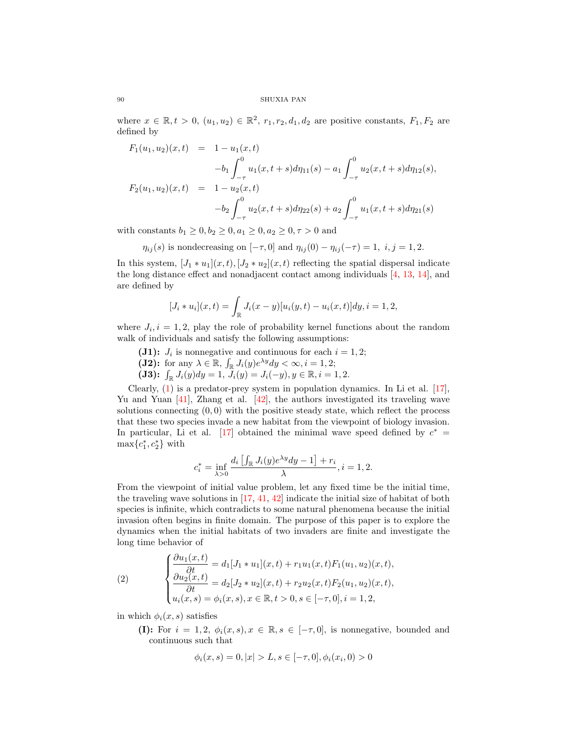where  $x \in \mathbb{R}, t > 0$ ,  $(u_1, u_2) \in \mathbb{R}^2$ ,  $r_1, r_2, d_1, d_2$  are positive constants,  $F_1, F_2$  are defined by

$$
F_1(u_1, u_2)(x, t) = 1 - u_1(x, t)
$$
  
\n
$$
-b_1 \int_{-\tau}^0 u_1(x, t+s) d\eta_{11}(s) - a_1 \int_{-\tau}^0 u_2(x, t+s) d\eta_{12}(s),
$$
  
\n
$$
F_2(u_1, u_2)(x, t) = 1 - u_2(x, t)
$$
  
\n
$$
-b_2 \int_{-\tau}^0 u_2(x, t+s) d\eta_{22}(s) + a_2 \int_{-\tau}^0 u_1(x, t+s) d\eta_{21}(s)
$$

with constants  $b_1 \ge 0, b_2 \ge 0, a_1 \ge 0, a_2 \ge 0, \tau > 0$  and

 $\eta_{ij}(s)$  is nondecreasing on  $[-\tau,0]$  and  $\eta_{ij}(0) - \eta_{ij}(-\tau) = 1, i, j = 1, 2$ .

In this system,  $[J_1 * u_1](x, t)$ ,  $[J_2 * u_2](x, t)$  reflecting the spatial dispersal indicate the long distance effect and nonadjacent contact among individuals [\[4,](#page-8-1) [13,](#page-9-13) [14\]](#page-9-14), and are defined by

$$
[J_i * u_i](x,t) = \int_{\mathbb{R}} J_i(x-y)[u_i(y,t) - u_i(x,t)]dy, i = 1,2,
$$

where  $J_i, i = 1, 2$ , play the role of probability kernel functions about the random walk of individuals and satisfy the following assumptions:

- (J1):  $J_i$  is nonnegative and continuous for each  $i = 1, 2;$
- (J2): for any  $\lambda \in \mathbb{R}$ ,  $\int_{\mathbb{R}} J_i(y) e^{\lambda y} dy < \infty$ ,  $i = 1, 2$ ;
- (**J3):**  $\int_{\mathbb{R}} J_i(y) dy = 1, \overline{J}_i(y) = J_i(-y), y \in \mathbb{R}, i = 1, 2.$

Clearly,  $(1)$  is a predator-prey system in population dynamics. In Li et al.  $[17]$ , Yu and Yuan  $\left|41\right|$ , Zhang et al.  $\left|42\right|$ , the authors investigated its traveling wave solutions connecting  $(0, 0)$  with the positive steady state, which reflect the process that these two species invade a new habitat from the viewpoint of biology invasion. In particular, Li et al. [\[17\]](#page-9-12) obtained the minimal wave speed defined by  $c^*$  =  $\max\{c_1^*, c_2^*\}$  with

$$
c_i^* = \inf_{\lambda > 0} \frac{d_i \left[ \int_{\mathbb{R}} J_i(y) e^{\lambda y} dy - 1 \right] + r_i}{\lambda}, i = 1, 2.
$$

From the viewpoint of initial value problem, let any fixed time be the initial time, the traveling wave solutions in  $[17, 41, 42]$  $[17, 41, 42]$  $[17, 41, 42]$  $[17, 41, 42]$  $[17, 41, 42]$  indicate the initial size of habitat of both species is infinite, which contradicts to some natural phenomena because the initial invasion often begins in finite domain. The purpose of this paper is to explore the dynamics when the initial habitats of two invaders are finite and investigate the long time behavior of

<span id="page-1-0"></span>(2) 
$$
\begin{cases} \frac{\partial u_1(x,t)}{\partial t} = d_1[J_1 * u_1](x,t) + r_1 u_1(x,t) F_1(u_1, u_2)(x,t), \\ \frac{\partial u_2(x,t)}{\partial t} = d_2[J_2 * u_2](x,t) + r_2 u_2(x,t) F_2(u_1, u_2)(x,t), \\ u_i(x,s) = \phi_i(x,s), x \in \mathbb{R}, t > 0, s \in [-\tau, 0], i = 1, 2, \end{cases}
$$

in which  $\phi_i(x, s)$  satisfies

(I): For  $i = 1, 2, \phi_i(x, s), x \in \mathbb{R}, s \in [-\tau, 0],$  is nonnegative, bounded and continuous such that

$$
\phi_i(x, s) = 0, |x| > L, s \in [-\tau, 0], \phi_i(x_i, 0) > 0
$$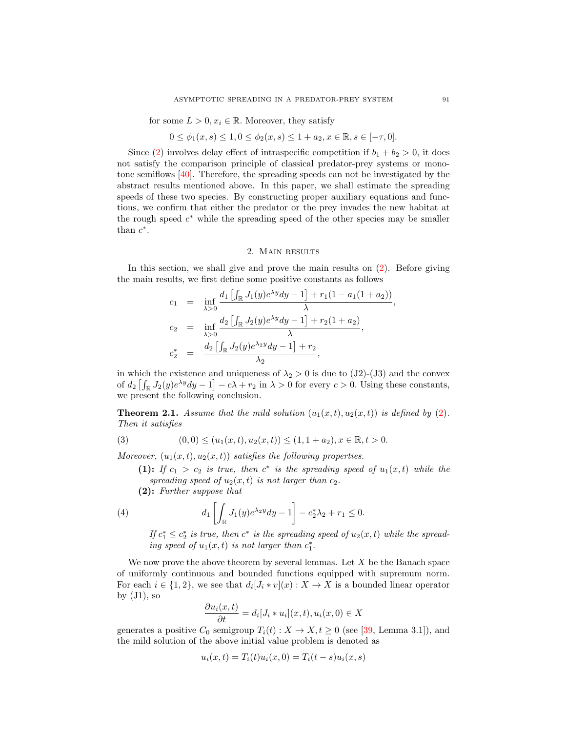for some  $L > 0, x_i \in \mathbb{R}$ . Moreover, they satisfy

$$
0 \le \phi_1(x, s) \le 1, 0 \le \phi_2(x, s) \le 1 + a_2, x \in \mathbb{R}, s \in [-\tau, 0].
$$

Since [\(2\)](#page-1-0) involves delay effect of intraspecific competition if  $b_1 + b_2 > 0$ , it does not satisfy the comparison principle of classical predator-prey systems or monotone semiflows [\[40\]](#page-10-4). Therefore, the spreading speeds can not be investigated by the abstract results mentioned above. In this paper, we shall estimate the spreading speeds of these two species. By constructing proper auxiliary equations and functions, we confirm that either the predator or the prey invades the new habitat at the rough speed  $c^*$  while the spreading speed of the other species may be smaller than  $c^*$ .

# 2. MAIN RESULTS

In this section, we shall give and prove the main results on [\(2\)](#page-1-0). Before giving the main results, we first define some positive constants as follows

$$
c_1 = \inf_{\lambda > 0} \frac{d_1 \left[ \int_{\mathbb{R}} J_1(y) e^{\lambda y} dy - 1 \right] + r_1 (1 - a_1 (1 + a_2))}{\lambda},
$$
  
\n
$$
c_2 = \inf_{\lambda > 0} \frac{d_2 \left[ \int_{\mathbb{R}} J_2(y) e^{\lambda y} dy - 1 \right] + r_2 (1 + a_2)}{\lambda},
$$
  
\n
$$
c_2^* = \frac{d_2 \left[ \int_{\mathbb{R}} J_2(y) e^{\lambda_2 y} dy - 1 \right] + r_2}{\lambda_2},
$$

in which the existence and uniqueness of  $\lambda_2 > 0$  is due to (J2)-(J3) and the convex of  $d_2 \left[ \int_{\mathbb{R}} J_2(y) e^{\lambda y} dy - 1 \right] - c\lambda + r_2$  in  $\lambda > 0$  for every  $c > 0$ . Using these constants, we present the following conclusion.

**Theorem 2.1.** Assume that the mild solution  $(u_1(x,t), u_2(x,t))$  is defined by [\(2\)](#page-1-0). Then it satisfies

(3) 
$$
(0,0) \le (u_1(x,t), u_2(x,t)) \le (1, 1 + a_2), x \in \mathbb{R}, t > 0.
$$

Moreover,  $(u_1(x, t), u_2(x, t))$  satisfies the following properties.

<span id="page-2-0"></span>(1): If  $c_1 > c_2$  is true, then  $c^*$  is the spreading speed of  $u_1(x,t)$  while the spreading speed of  $u_2(x,t)$  is not larger than  $c_2$ .

(2): Further suppose that

(4) 
$$
d_1 \left[ \int_{\mathbb{R}} J_1(y) e^{\lambda_2 y} dy - 1 \right] - c_2^* \lambda_2 + r_1 \leq 0.
$$

<span id="page-2-1"></span>If  $c_1^* \leq c_2^*$  is true, then  $c^*$  is the spreading speed of  $u_2(x,t)$  while the spreading speed of  $u_1(x,t)$  is not larger than  $c_1^*$ .

We now prove the above theorem by several lemmas. Let  $X$  be the Banach space of uniformly continuous and bounded functions equipped with supremum norm. For each  $i \in \{1,2\}$ , we see that  $d_i[J_i * v](x) : X \to X$  is a bounded linear operator by  $(J1)$ , so

$$
\frac{\partial u_i(x,t)}{\partial t} = d_i[J_i * u_i](x,t), u_i(x,0) \in X
$$

generates a positive  $C_0$  semigroup  $T_i(t): X \to X, t \geq 0$  (see [\[39,](#page-10-5) Lemma 3.1]), and the mild solution of the above initial value problem is denoted as

$$
u_i(x,t) = T_i(t)u_i(x,0) = T_i(t-s)u_i(x,s)
$$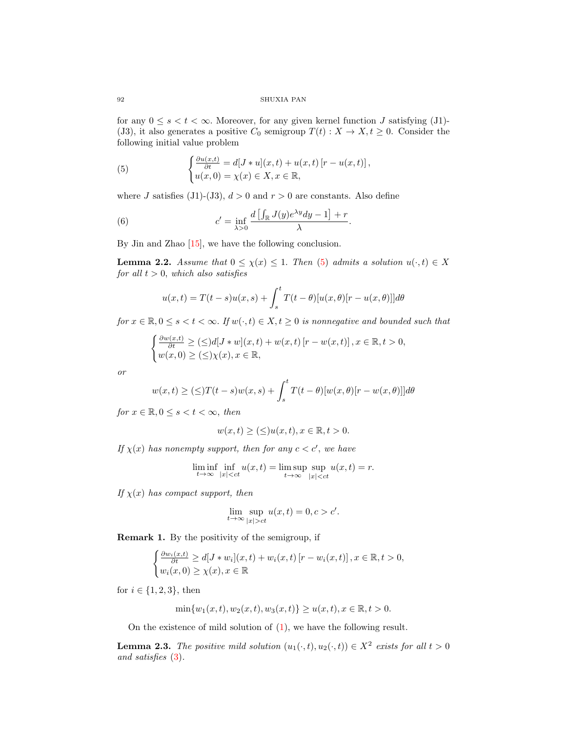# 92 SHUXIA PAN

for any  $0 \le s < t < \infty$ . Moreover, for any given kernel function J satisfying (J1)-(J3), it also generates a positive  $C_0$  semigroup  $T(t) : X \to X, t \geq 0$ . Consider the following initial value problem

<span id="page-3-0"></span>(5) 
$$
\begin{cases} \frac{\partial u(x,t)}{\partial t} = d[J * u](x,t) + u(x,t) [r - u(x,t)], \\ u(x,0) = \chi(x) \in X, x \in \mathbb{R}, \end{cases}
$$

where J satisfies (J1)-(J3),  $d > 0$  and  $r > 0$  are constants. Also define

(6) 
$$
c' = \inf_{\lambda > 0} \frac{d \left[ \int_{\mathbb{R}} J(y) e^{\lambda y} dy - 1 \right] + r}{\lambda}.
$$

By Jin and Zhao [\[15\]](#page-9-15), we have the following conclusion.

<span id="page-3-1"></span>**Lemma 2.2.** Assume that  $0 \le \chi(x) \le 1$ . Then [\(5\)](#page-3-0) admits a solution  $u(\cdot, t) \in X$ for all  $t > 0$ , which also satisfies

<span id="page-3-3"></span>
$$
u(x,t) = T(t-s)u(x,s) + \int_s^t T(t-\theta)[u(x,\theta)[r-u(x,\theta)]]d\theta
$$

for  $x \in \mathbb{R}, 0 \le s < t < \infty$ . If  $w(\cdot, t) \in X, t \ge 0$  is nonnegative and bounded such that

$$
\begin{cases} \frac{\partial w(x,t)}{\partial t} \geq (\leq) d[J \ast w](x,t) + w(x,t) [r - w(x,t)], x \in \mathbb{R}, t > 0, \\ w(x,0) \geq (\leq) \chi(x), x \in \mathbb{R}, \end{cases}
$$

or

$$
w(x,t) \ge (\le)T(t-s)w(x,s) + \int_s^t T(t-\theta)[w(x,\theta)[r-w(x,\theta)]]d\theta
$$

for  $x \in \mathbb{R}, 0 \leq s < t < \infty$ , then

$$
w(x,t) \geq (\leq) u(x,t), x \in \mathbb{R}, t > 0.
$$

If  $\chi(x)$  has nonempty support, then for any  $c < c'$ , we have

$$
\liminf_{t \to \infty} \inf_{|x| < ct} u(x, t) = \limsup_{t \to \infty} \sup_{|x| < ct} u(x, t) = r.
$$

If  $\chi(x)$  has compact support, then

$$
\lim_{t \to \infty} \sup_{|x| > ct} u(x, t) = 0, c > c'.
$$

<span id="page-3-4"></span>Remark 1. By the positivity of the semigroup, if

$$
\begin{cases} \frac{\partial w_i(x,t)}{\partial t} \ge d[J*w_i](x,t) + w_i(x,t) [r - w_i(x,t)], x \in \mathbb{R}, t > 0, \\ w_i(x,0) \ge \chi(x), x \in \mathbb{R} \end{cases}
$$

for  $i \in \{1, 2, 3\}$ , then

$$
\min\{w_1(x,t), w_2(x,t), w_3(x,t)\} \ge u(x,t), x \in \mathbb{R}, t > 0.
$$

On the existence of mild solution of [\(1\)](#page-0-0), we have the following result.

<span id="page-3-2"></span>**Lemma 2.3.** The positive mild solution  $(u_1(\cdot,t), u_2(\cdot,t)) \in X^2$  exists for all  $t > 0$ and satisfies [\(3\)](#page-2-0).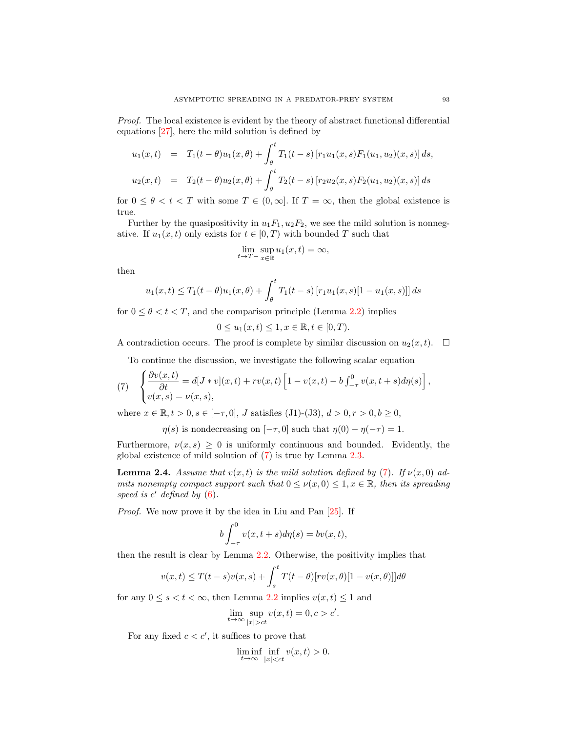Proof. The local existence is evident by the theory of abstract functional differential equations [\[27\]](#page-9-16), here the mild solution is defined by

$$
u_1(x,t) = T_1(t-\theta)u_1(x,\theta) + \int_{\theta}^{t} T_1(t-s) [r_1u_1(x,s)F_1(u_1,u_2)(x,s)] ds,
$$
  

$$
u_2(x,t) = T_2(t-\theta)u_2(x,\theta) + \int_{\theta}^{t} T_2(t-s) [r_2u_2(x,s)F_2(u_1,u_2)(x,s)] ds
$$

for  $0 \leq \theta < t < T$  with some  $T \in (0, \infty]$ . If  $T = \infty$ , then the global existence is true.

Further by the quasipositivity in  $u_1F_1$ ,  $u_2F_2$ , we see the mild solution is nonnegative. If  $u_1(x, t)$  only exists for  $t \in [0, T)$  with bounded T such that

$$
\lim_{t \to T^-} \sup_{x \in \mathbb{R}} u_1(x, t) = \infty,
$$

then

$$
u_1(x,t) \le T_1(t-\theta)u_1(x,\theta) + \int_{\theta}^t T_1(t-s) [r_1u_1(x,s)[1-u_1(x,s)]] ds
$$

for  $0 \le \theta < t < T$ , and the comparison principle (Lemma [2.2\)](#page-3-1) implies

$$
0 \le u_1(x, t) \le 1, x \in \mathbb{R}, t \in [0, T).
$$

A contradiction occurs. The proof is complete by similar discussion on  $u_2(x, t)$ .  $\Box$ 

To continue the discussion, we investigate the following scalar equation

<span id="page-4-0"></span>(7) 
$$
\begin{cases} \frac{\partial v(x,t)}{\partial t} = d[J * v](x,t) + rv(x,t) \left[1 - v(x,t) - b \int_{-\tau}^{0} v(x,t+s) d\eta(s)\right], \\ v(x,s) = \nu(x,s), \end{cases}
$$

where  $x \in \mathbb{R}, t > 0, s \in [-\tau, 0], J$  satisfies (J1)-(J3),  $d > 0, r > 0, b \ge 0$ ,

 $\eta(s)$  is nondecreasing on  $[-\tau, 0]$  such that  $\eta(0) - \eta(-\tau) = 1$ .

Furthermore,  $\nu(x, s) \geq 0$  is uniformly continuous and bounded. Evidently, the global existence of mild solution of [\(7\)](#page-4-0) is true by Lemma [2.3.](#page-3-2)

<span id="page-4-1"></span>**Lemma 2.4.** Assume that  $v(x, t)$  is the mild solution defined by [\(7\)](#page-4-0). If  $v(x, 0)$  admits nonempty compact support such that  $0 \leq \nu(x,0) \leq 1, x \in \mathbb{R}$ , then its spreading speed is  $c'$  defined by  $(6)$ .

Proof. We now prove it by the idea in Liu and Pan [\[25\]](#page-9-17). If

$$
b\int_{-\tau}^{0} v(x,t+s)d\eta(s) = bv(x,t),
$$

then the result is clear by Lemma [2.2.](#page-3-1) Otherwise, the positivity implies that

$$
v(x,t) \leq T(t-s)v(x,s) + \int_s^t T(t-\theta)[rv(x,\theta)[1-v(x,\theta)]]d\theta
$$

for any  $0 \le s < t < \infty$ , then Lemma [2.2](#page-3-1) implies  $v(x, t) \le 1$  and

$$
\lim_{t \to \infty} \sup_{|x| > ct} v(x, t) = 0, c > c'
$$

.

For any fixed  $c < c'$ , it suffices to prove that

 $\liminf_{t\to\infty} \inf_{|x| 0.$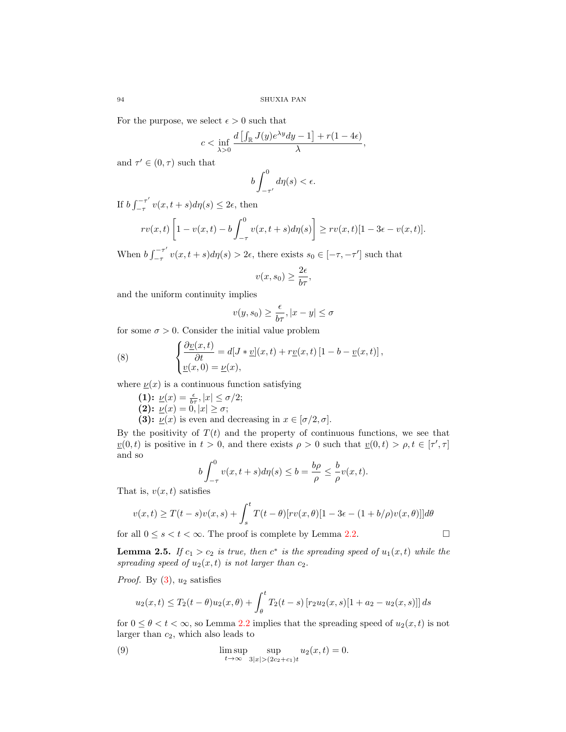For the purpose, we select  $\epsilon > 0$  such that

$$
c<\inf_{\lambda>0}\frac{d\left[\int_{\mathbb{R}}J(y)e^{\lambda y}dy-1\right]+r(1-4\epsilon)}{\lambda},
$$

and  $\tau' \in (0, \tau)$  such that

$$
b\int_{-\tau'}^0 d\eta(s) < \epsilon.
$$

If  $b \int_{-\tau}^{-\tau'}$  $\sum_{-\tau}^{\tau} v(x, t+s) d\eta(s) \leq 2\epsilon$ , then

$$
rv(x,t)\left[1-v(x,t)-b\int_{-\tau}^0v(x,t+s)d\eta(s)\right]\geq rv(x,t)[1-3\epsilon-v(x,t)].
$$

When  $b \int_{-\tau}^{-\tau'}$  $\int_{-\tau}^{\tau} v(x, t+s)d\eta(s) > 2\epsilon$ , there exists  $s_0 \in [-\tau, -\tau']$  such that

$$
v(x, s_0) \ge \frac{2\epsilon}{b\tau},
$$

and the uniform continuity implies

$$
v(y,s_0)\geq \frac{\epsilon}{b\tau}, |x-y|\leq \sigma
$$

for some  $\sigma > 0$ . Consider the initial value problem

(8) 
$$
\begin{cases} \frac{\partial v(x,t)}{\partial t} = d[J * v](x,t) + r\underline{v}(x,t) [1 - b - \underline{v}(x,t)], \\ \underline{v}(x,0) = \underline{v}(x), \end{cases}
$$

where  $\nu(x)$  is a continuous function satisfying

(1):  $\underline{\nu}(x) = \frac{\epsilon}{b\tau}, |x| \leq \sigma/2;$ 

$$
(2): \underline{\nu}(x) = 0, |x| \geq \sigma;
$$

(3):  $\underline{\nu}(x)$  is even and decreasing in  $x \in [\sigma/2, \sigma]$ .

By the positivity of  $T(t)$  and the property of continuous functions, we see that  $v(0,t)$  is positive in  $t > 0$ , and there exists  $\rho > 0$  such that  $v(0,t) > \rho, t \in [\tau', \tau]$ and so

$$
b\int_{-\tau}^{0}v(x,t+s)d\eta(s)\leq b=\frac{b\rho}{\rho}\leq\frac{b}{\rho}v(x,t).
$$

That is,  $v(x, t)$  satisfies

$$
v(x,t) \geq T(t-s)v(x,s) + \int_s^t T(t-\theta)[rv(x,\theta)[1-3\epsilon-(1+b/\rho)v(x,\theta)]]d\theta
$$

for all  $0 \le s < t < \infty$ . The proof is complete by Lemma [2.2.](#page-3-1)

**Lemma 2.5.** If  $c_1 > c_2$  is true, then  $c^*$  is the spreading speed of  $u_1(x,t)$  while the spreading speed of  $u_2(x,t)$  is not larger than  $c_2$ .

*Proof.* By  $(3)$ ,  $u_2$  satisfies

<span id="page-5-0"></span>
$$
u_2(x,t) \le T_2(t-\theta)u_2(x,\theta) + \int_{\theta}^{t} T_2(t-s) \left[ r_2 u_2(x,s)[1+a_2-u_2(x,s)] \right] ds
$$

for  $0 \le \theta < t < \infty$ , so Lemma [2.2](#page-3-1) implies that the spreading speed of  $u_2(x, t)$  is not larger than  $c_2$ , which also leads to

(9) 
$$
\limsup_{t \to \infty} \sup_{3|x| > (2c_2 + c_1)t} u_2(x, t) = 0.
$$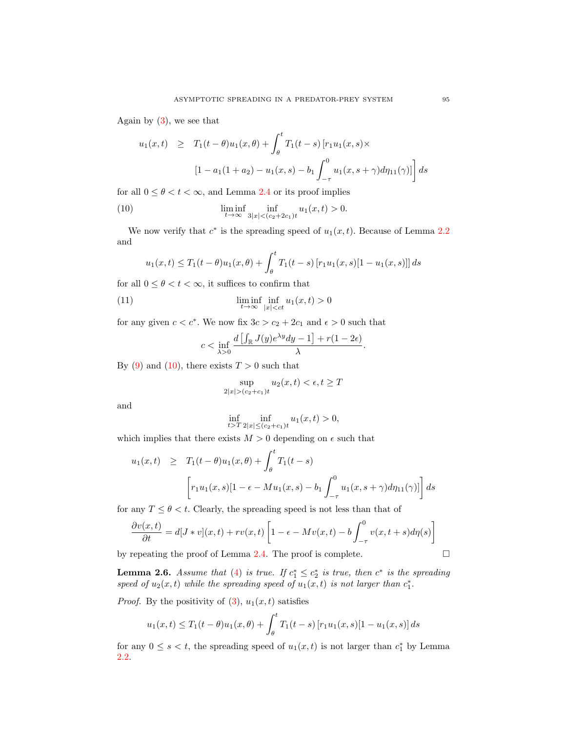Again by  $(3)$ , we see that

$$
u_1(x,t) \geq T_1(t-\theta)u_1(x,\theta) + \int_{\theta}^{t} T_1(t-s) [r_1u_1(x,s) \times
$$

$$
[1 - a_1(1+a_2) - u_1(x,s) - b_1 \int_{-\tau}^{0} u_1(x,s+\gamma) d\eta_{11}(\gamma)] ds
$$

for all  $0 \le \theta < t < \infty$ , and Lemma [2.4](#page-4-1) or its proof implies

(10) 
$$
\liminf_{t \to \infty} \inf_{3|x| < (c_2 + 2c_1)t} u_1(x, t) > 0.
$$

We now verify that  $c^*$  is the spreading speed of  $u_1(x,t)$ . Because of Lemma [2.2](#page-3-1) and

<span id="page-6-0"></span>
$$
u_1(x,t) \le T_1(t-\theta)u_1(x,\theta) + \int_{\theta}^t T_1(t-s) [r_1u_1(x,s)[1-u_1(x,s)]] ds
$$

for all  $0 \le \theta < t < \infty$ , it suffices to confirm that

(11) 
$$
\liminf_{t \to \infty} \inf_{|x| < ct} u_1(x,t) > 0
$$

for any given  $c < c^*$ . We now fix  $3c > c_2 + 2c_1$  and  $\epsilon > 0$  such that

$$
c < \inf_{\lambda > 0} \frac{d \left[ \int_{\mathbb{R}} J(y) e^{\lambda y} dy - 1 \right] + r(1 - 2\epsilon)}{\lambda}.
$$

By [\(9\)](#page-5-0) and [\(10\)](#page-6-0), there exists  $T > 0$  such that

$$
\sup_{2|x| > (c_2 + c_1)t} u_2(x, t) < \epsilon, t \ge T
$$

and

$$
\inf_{t>T} \inf_{2|x| \le (c_2+c_1)t} u_1(x,t) > 0,
$$

which implies that there exists  $M > 0$  depending on  $\epsilon$  such that

$$
u_1(x,t) \geq T_1(t-\theta)u_1(x,\theta) + \int_{\theta}^{t} T_1(t-s)
$$

$$
\left[r_1u_1(x,s)[1-\epsilon-Mu_1(x,s)-b_1\int_{-\tau}^{0} u_1(x,s+\gamma)d\eta_{11}(\gamma)]\right]ds
$$

for any  $T \leq \theta < t$ . Clearly, the spreading speed is not less than that of

$$
\frac{\partial v(x,t)}{\partial t} = d[J * v](x,t) + rv(x,t) \left[1 - \epsilon - Mv(x,t) - b \int_{-\tau}^{0} v(x,t+s) d\eta(s)\right]
$$

by repeating the proof of Lemma [2.4.](#page-4-1) The proof is complete.  $\Box$ 

**Lemma 2.6.** Assume that [\(4\)](#page-2-1) is true. If  $c_1^* \leq c_2^*$  is true, then  $c^*$  is the spreading speed of  $u_2(x,t)$  while the spreading speed of  $u_1(x,t)$  is not larger than  $c_1^*$ .

*Proof.* By the positivity of  $(3)$ ,  $u_1(x,t)$  satisfies

$$
u_1(x,t) \le T_1(t-\theta)u_1(x,\theta) + \int_{\theta}^t T_1(t-s) [r_1u_1(x,s)[1-u_1(x,s)] ds
$$

for any  $0 \leq s < t$ , the spreading speed of  $u_1(x,t)$  is not larger than  $c_1^*$  by Lemma [2.2.](#page-3-1)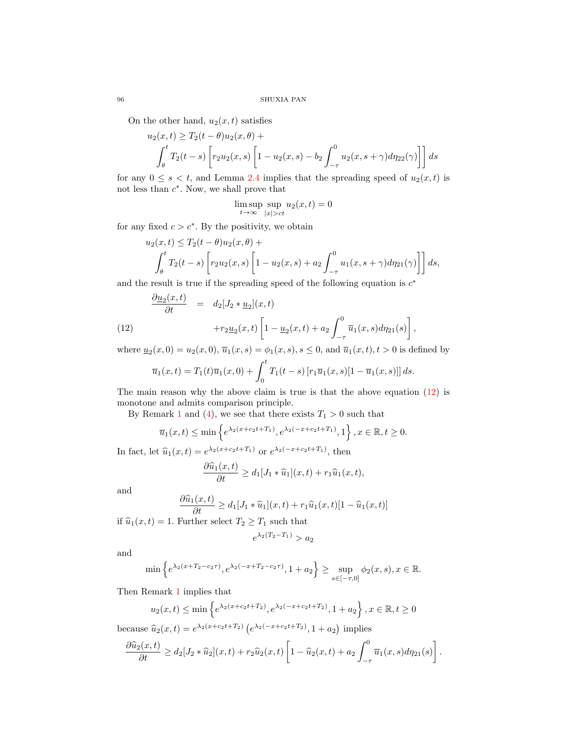On the other hand,  $u_2(x, t)$  satisfies

$$
u_2(x,t) \ge T_2(t-\theta)u_2(x,\theta) +
$$
  

$$
\int_{\theta}^{t} T_2(t-s) \left[ r_2 u_2(x,s) \left[ 1 - u_2(x,s) - b_2 \int_{-\tau}^{0} u_2(x,s+\gamma) d\eta_{22}(\gamma) \right] \right] ds
$$

for any  $0 \leq s < t$ , and Lemma [2.4](#page-4-1) implies that the spreading speed of  $u_2(x, t)$  is not less than  $c^*$ . Now, we shall prove that

$$
\limsup_{t \to \infty} \sup_{|x| > ct} u_2(x, t) = 0
$$

for any fixed  $c > c^*$ . By the positivity, we obtain

<span id="page-7-0"></span>∂u<sup>2</sup>

$$
u_2(x,t) \le T_2(t-\theta)u_2(x,\theta) +
$$
  

$$
\int_{\theta}^{t} T_2(t-s) \left[ r_2 u_2(x,s) \left[ 1 - u_2(x,s) + a_2 \int_{-\tau}^{0} u_1(x,s+\gamma) d\eta_{21}(\gamma) \right] \right] ds,
$$

and the result is true if the spreading speed of the following equation is  $c^*$ 

(12) 
$$
\frac{\partial \underline{u}_2(x,t)}{\partial t} = d_2[J_2 * \underline{u}_2](x,t) + r_2 \underline{u}_2(x,t) \left[1 - \underline{u}_2(x,t) + a_2 \int_{-\tau}^0 \overline{u}_1(x,s) d\eta_{21}(s)\right],
$$

where  $\underline{u}_2(x,0) = u_2(x,0), \overline{u}_1(x,s) = \phi_1(x,s), s \le 0$ , and  $\overline{u}_1(x,t), t > 0$  is defined by

$$
\overline{u}_1(x,t) = T_1(t)\overline{u}_1(x,0) + \int_0^t T_1(t-s) [r_1\overline{u}_1(x,s)[1-\overline{u}_1(x,s)]] ds.
$$

The main reason why the above claim is true is that the above equation [\(12\)](#page-7-0) is monotone and admits comparison principle.

By Remark [1](#page-3-4) and [\(4\)](#page-2-1), we see that there exists  $T_1 > 0$  such that

$$
\overline{u}_1(x,t) \le \min \left\{ e^{\lambda_2(x+c_2t+T_1)}, e^{\lambda_2(-x+c_2t+T_1)}, 1 \right\}, x \in \mathbb{R}, t \ge 0.
$$

In fact, let  $\hat{u}_1(x,t) = e^{\lambda_2(x+c_2t+T_1)}$  or  $e^{\lambda_2(-x+c_2t+T_1)}$ , then

$$
\frac{\partial \widehat{u}_1(x,t)}{\partial t} \ge d_1[J_1 * \widehat{u}_1](x,t) + r_1 \widehat{u}_1(x,t),
$$

and

$$
\frac{\partial \widehat{u}_1(x,t)}{\partial t} \ge d_1[J_1 * \widehat{u}_1](x,t) + r_1 \widehat{u}_1(x,t)[1 - \widehat{u}_1(x,t)]
$$

if  $\hat{u}_1(x, t) = 1$ . Further select  $T_2 \geq T_1$  such that

$$
e^{\lambda_2(T_2 - T_1)} > a_2
$$

and

$$
\min \left\{ e^{\lambda_2 (x+T_2-c_2\tau)}, e^{\lambda_2 (-x+T_2-c_2\tau)}, 1+a_2 \right\} \ge \sup_{s \in [-\tau,0]} \phi_2(x,s), x \in \mathbb{R}.
$$

Then Remark [1](#page-3-4) implies that

$$
u_2(x,t) \le \min \left\{ e^{\lambda_2(x+c_2t+T_2)}, e^{\lambda_2(-x+c_2t+T_2)}, 1+a_2 \right\}, x \in \mathbb{R}, t \ge 0
$$

because  $\hat{u}_2(x,t) = e^{\lambda_2(x+c_2t+T_2)} (e^{\lambda_2(-x+c_2t+T_2)}, 1+a_2)$  implies

$$
\frac{\partial \widehat{u}_2(x,t)}{\partial t} \geq d_2[J_2 * \widehat{u}_2](x,t) + r_2 \widehat{u}_2(x,t) \left[1 - \widehat{u}_2(x,t) + a_2 \int_{-\tau}^0 \overline{u}_1(x,s) d\eta_{21}(s)\right].
$$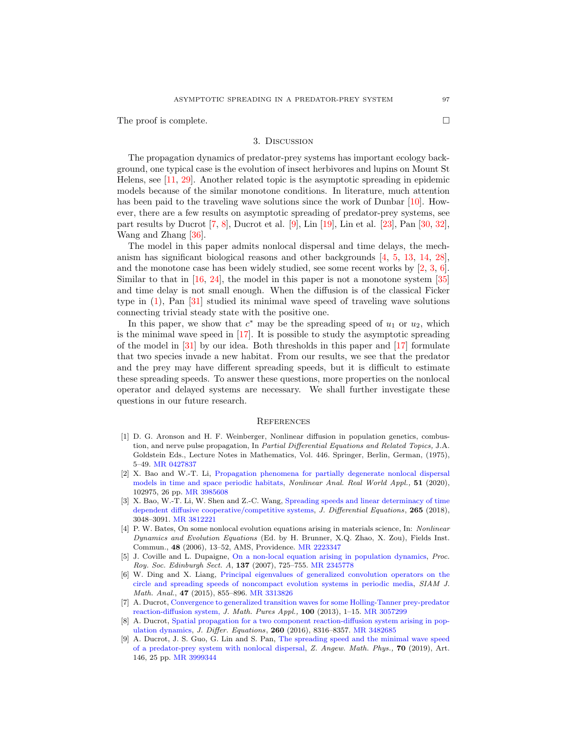The proof is complete.

# 3. Discussion

The propagation dynamics of predator-prey systems has important ecology background, one typical case is the evolution of insect herbivores and lupins on Mount St Helens, see [\[11,](#page-9-18) [29\]](#page-9-19). Another related topic is the asymptotic spreading in epidemic models because of the similar monotone conditions. In literature, much attention has been paid to the traveling wave solutions since the work of Dunbar [\[10\]](#page-9-20). However, there are a few results on asymptotic spreading of predator-prey systems, see part results by Ducrot [\[7,](#page-8-2) [8\]](#page-8-3), Ducrot et al. [\[9\]](#page-8-4), Lin [\[19\]](#page-9-6), Lin et al. [\[23\]](#page-9-21), Pan [\[30,](#page-9-10) [32\]](#page-9-22), Wang and Zhang [\[36\]](#page-9-23).

The model in this paper admits nonlocal dispersal and time delays, the mechanism has significant biological reasons and other backgrounds [\[4,](#page-8-1) [5,](#page-8-5) [13,](#page-9-13) [14,](#page-9-14) [28\]](#page-9-0), and the monotone case has been widely studied, see some recent works by [\[2,](#page-8-6) [3,](#page-8-7) [6\]](#page-8-8). Similar to that in [\[16,](#page-9-24) [24\]](#page-9-25), the model in this paper is not a monotone system [\[35\]](#page-9-26) and time delay is not small enough. When the diffusion is of the classical Ficker type in [\(1\)](#page-0-0), Pan [\[31\]](#page-9-27) studied its minimal wave speed of traveling wave solutions connecting trivial steady state with the positive one.

In this paper, we show that  $c^*$  may be the spreading speed of  $u_1$  or  $u_2$ , which is the minimal wave speed in [\[17\]](#page-9-12). It is possible to study the asymptotic spreading of the model in  $[31]$  by our idea. Both thresholds in this paper and  $[17]$  formulate that two species invade a new habitat. From our results, we see that the predator and the prey may have different spreading speeds, but it is difficult to estimate these spreading speeds. To answer these questions, more properties on the nonlocal operator and delayed systems are necessary. We shall further investigate these questions in our future research.

### **REFERENCES**

- <span id="page-8-0"></span>[1] D. G. Aronson and H. F. Weinberger, Nonlinear diffusion in population genetics, combustion, and nerve pulse propagation, In Partial Differential Equations and Related Topics, J.A. Goldstein Eds., Lecture Notes in Mathematics, Vol. 446. Springer, Berlin, German, (1975), 5–49. [MR 0427837](http://www.ams.org/mathscinet-getitem?mr=0427837&return=pdf)
- <span id="page-8-6"></span>[2] X. Bao and W.-T. Li, [Propagation phenomena for partially degenerate nonlocal dispersal](http://dx.doi.org/10.1016/j.nonrwa.2019.102975) [models in time and space periodic habitats,](http://dx.doi.org/10.1016/j.nonrwa.2019.102975) Nonlinear Anal. Real World Appl., 51 (2020), 102975, 26 pp. [MR 3985608](http://www.ams.org/mathscinet-getitem?mr=3985608&return=pdf)
- <span id="page-8-7"></span>[3] X. Bao, W.-T. Li, W. Shen and Z.-C. Wang, [Spreading speeds and linear determinacy of time](http://dx.doi.org/10.1016/j.jde.2018.05.003) [dependent diffusive cooperative/competitive systems,](http://dx.doi.org/10.1016/j.jde.2018.05.003) J. Differential Equations, 265 (2018), 3048–3091. [MR 3812221](http://www.ams.org/mathscinet-getitem?mr=3812221&return=pdf)
- <span id="page-8-1"></span>[4] P. W. Bates, On some nonlocal evolution equations arising in materials science, In: Nonlinear Dynamics and Evolution Equations (Ed. by H. Brunner, X.Q. Zhao, X. Zou), Fields Inst. Commun., 48 (2006), 13–52, AMS, Providence. [MR 2223347](http://www.ams.org/mathscinet-getitem?mr=2223347&return=pdf)
- <span id="page-8-5"></span>[5] J. Coville and L. Dupaigne, [On a non-local equation arising in population dynamics,](http://dx.doi.org/10.1017/S0308210504000721) Proc. Roy. Soc. Edinburgh Sect. A, 137 (2007), 725–755. [MR 2345778](http://www.ams.org/mathscinet-getitem?mr=2345778&return=pdf)
- <span id="page-8-8"></span>[6] W. Ding and X. Liang, [Principal eigenvalues of generalized convolution operators on the](http://dx.doi.org/10.1137/140958141) [circle and spreading speeds of noncompact evolution systems in periodic media,](http://dx.doi.org/10.1137/140958141) SIAM J. Math. Anal., 47 (2015), 855–896. [MR 3313826](http://www.ams.org/mathscinet-getitem?mr=3313826&return=pdf)
- <span id="page-8-2"></span>[7] A. Ducrot, [Convergence to generalized transition waves for some Holling-Tanner prey-predator](http://dx.doi.org/10.1016/j.matpur.2012.10.009) [reaction-diffusion system,](http://dx.doi.org/10.1016/j.matpur.2012.10.009) J. Math. Pures Appl.,  $100$  (2013), 1–15. [MR 3057299](http://www.ams.org/mathscinet-getitem?mr=3057299&return=pdf)
- <span id="page-8-3"></span>[8] A. Ducrot, [Spatial propagation for a two component reaction-diffusion system arising in pop](http://dx.doi.org/10.1016/j.jde.2016.02.023)[ulation dynamics,](http://dx.doi.org/10.1016/j.jde.2016.02.023) J. Differ. Equations, 260 (2016), 8316–8357. [MR 3482685](http://www.ams.org/mathscinet-getitem?mr=3482685&return=pdf)
- <span id="page-8-4"></span>[9] A. Ducrot, J. S. Guo, G. Lin and S. Pan, [The spreading speed and the minimal wave speed](http://dx.doi.org/10.1007/s00033-019-1188-x) [of a predator-prey system with nonlocal dispersal,](http://dx.doi.org/10.1007/s00033-019-1188-x) Z. Angew. Math. Phys., 70 (2019), Art. 146, 25 pp. [MR 3999344](http://www.ams.org/mathscinet-getitem?mr=3999344&return=pdf)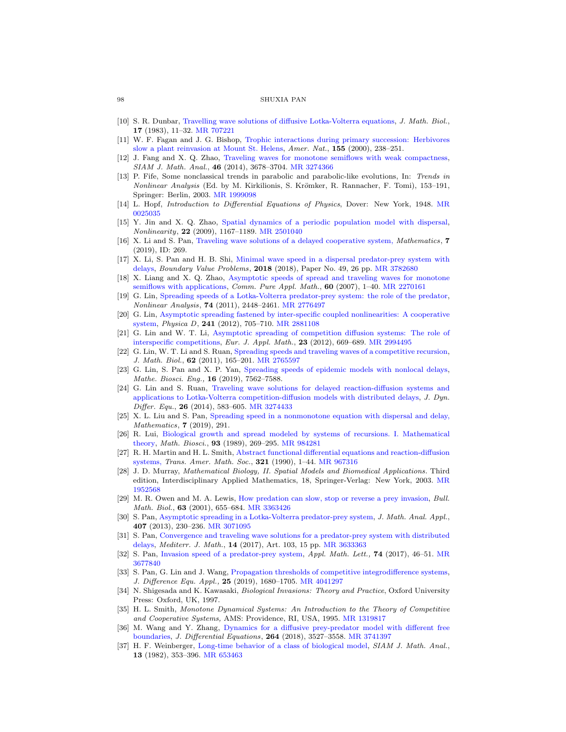#### 98 SHUXIA PAN

- <span id="page-9-20"></span>[10] S. R. Dunbar, [Travelling wave solutions of diffusive Lotka-Volterra equations,](http://dx.doi.org/10.1007/BF00276112) J. Math. Biol., 17 (1983), 11–32. [MR 707221](http://www.ams.org/mathscinet-getitem?mr=707221&return=pdf)
- <span id="page-9-18"></span>[11] W. F. Fagan and J. G. Bishop, [Trophic interactions during primary succession: Herbivores](http://dx.doi.org/10.1086/303320) [slow a plant reinvasion at Mount St. Helens,](http://dx.doi.org/10.1086/303320) Amer. Nat., 155 (2000), 238–251.
- <span id="page-9-2"></span>[12] J. Fang and X. Q. Zhao, [Traveling waves for monotone semiflows with weak compactness,](http://dx.doi.org/10.1137/140953939) SIAM J. Math. Anal., 46 (2014), 3678–3704. [MR 3274366](http://www.ams.org/mathscinet-getitem?mr=3274366&return=pdf)
- <span id="page-9-13"></span>[13] P. Fife, Some nonclassical trends in parabolic and parabolic-like evolutions, In: Trends in Nonlinear Analysis (Ed. by M. Kirkilionis, S. Krömker, R. Rannacher, F. Tomi), 153–191, Springer: Berlin, 2003. [MR 1999098](http://www.ams.org/mathscinet-getitem?mr=1999098&return=pdf)
- <span id="page-9-14"></span>[14] L. Hopf, Introduction to Differential Equations of Physics, Dover: New York, 1948. [MR](http://www.ams.org/mathscinet-getitem?mr=0025035&return=pdf) [0025035](http://www.ams.org/mathscinet-getitem?mr=0025035&return=pdf)
- <span id="page-9-15"></span>[15] Y. Jin and X. Q. Zhao, [Spatial dynamics of a periodic population model with dispersal,](http://dx.doi.org/10.1088/0951-7715/22/5/011) Nonlinearity, 22 (2009), 1167–1189. [MR 2501040](http://www.ams.org/mathscinet-getitem?mr=2501040&return=pdf)
- <span id="page-9-24"></span>[16] X. Li and S. Pan, [Traveling wave solutions of a delayed cooperative system,](http://dx.doi.org/10.3390/math7030269) Mathematics, 7 (2019), ID: 269.
- <span id="page-9-12"></span>[17] X. Li, S. Pan and H. B. Shi, [Minimal wave speed in a dispersal predator-prey system with](http://dx.doi.org/10.1186/s13661-018-0966-2) [delays,](http://dx.doi.org/10.1186/s13661-018-0966-2) Boundary Value Problems, 2018 (2018), Paper No. 49, 26 pp. [MR 3782680](http://www.ams.org/mathscinet-getitem?mr=3782680&return=pdf)
- <span id="page-9-3"></span>[18] X. Liang and X. Q. Zhao, [Asymptotic speeds of spread and traveling waves for monotone](http://dx.doi.org/10.1002/cpa.20154) [semiflows with applications,](http://dx.doi.org/10.1002/cpa.20154) *Comm. Pure Appl. Math.*, **60** (2007),  $1-40$ . [MR 2270161](http://www.ams.org/mathscinet-getitem?mr=2270161&return=pdf)
- <span id="page-9-6"></span>[19] G. Lin, [Spreading speeds of a Lotka-Volterra predator-prey system: the role of the predator,](http://dx.doi.org/10.1016/j.na.2010.11.046) Nonlinear Analysis, 74 (2011), 2448–2461. [MR 2776497](http://www.ams.org/mathscinet-getitem?mr=2776497&return=pdf)
- <span id="page-9-7"></span>[20] G. Lin, [Asymptotic spreading fastened by inter-specific coupled nonlinearities: A cooperative](http://dx.doi.org/10.1016/j.physd.2011.12.007) [system,](http://dx.doi.org/10.1016/j.physd.2011.12.007) Physica D, 241 (2012), 705–710. [MR 2881108](http://www.ams.org/mathscinet-getitem?mr=2881108&return=pdf)
- <span id="page-9-8"></span>[21] G. Lin and W. T. Li, [Asymptotic spreading of competition diffusion systems: The role of](http://dx.doi.org/10.1017/S0956792512000198) [interspecific competitions,](http://dx.doi.org/10.1017/S0956792512000198) Eur. J. Appl. Math., 23 (2012), 669–689. [MR 2994495](http://www.ams.org/mathscinet-getitem?mr=2994495&return=pdf)
- <span id="page-9-9"></span>[22] G. Lin, W. T. Li and S. Ruan, [Spreading speeds and traveling waves of a competitive recursion,](http://dx.doi.org/10.1007/s00285-010-0334-z) J. Math. Biol., 62 (2011), 165-201. [MR 2765597](http://www.ams.org/mathscinet-getitem?mr=2765597&return=pdf)
- <span id="page-9-21"></span>[23] G. Lin, S. Pan and X. P. Yan, [Spreading speeds of epidemic models with nonlocal delays,](http://dx.doi.org/10.3934/mbe.2019380) Mathe. Biosci. Eng., 16 (2019), 7562–7588.
- <span id="page-9-25"></span>[24] G. Lin and S. Ruan, [Traveling wave solutions for delayed reaction-diffusion systems and](http://dx.doi.org/10.1007/s10884-014-9355-4) [applications to Lotka-Volterra competition-diffusion models with distributed delays,](http://dx.doi.org/10.1007/s10884-014-9355-4) J. Dyn. Differ. Equ., 26 (2014), 583–605. [MR 3274433](http://www.ams.org/mathscinet-getitem?mr=3274433&return=pdf)
- <span id="page-9-17"></span>[25] X. L. Liu and S. Pan, [Spreading speed in a nonmonotone equation with dispersal and delay,](http://dx.doi.org/10.3390/math7030291) Mathematics, 7 (2019), 291.
- <span id="page-9-4"></span>[26] R. Lui, [Biological growth and spread modeled by systems of recursions. I. Mathematical](http://dx.doi.org/10.1016/0025-5564(89)90026-6) [theory,](http://dx.doi.org/10.1016/0025-5564(89)90026-6) Math. Biosci., 93 (1989), 269–295. [MR 984281](http://www.ams.org/mathscinet-getitem?mr=984281&return=pdf)
- <span id="page-9-16"></span>[27] R. H. Martin and H. L. Smith, [Abstract functional differential equations and reaction-diffusion](http://dx.doi.org/10.2307/2001590) [systems,](http://dx.doi.org/10.2307/2001590) Trans. Amer. Math. Soc., 321 (1990), 1-44. [MR 967316](http://www.ams.org/mathscinet-getitem?mr=967316&return=pdf)
- <span id="page-9-0"></span>[28] J. D. Murray, Mathematical Biology, II. Spatial Models and Biomedical Applications. Third edition, Interdisciplinary Applied Mathematics, 18, Springer-Verlag: New York, 2003. [MR](http://www.ams.org/mathscinet-getitem?mr=1952568&return=pdf) [1952568](http://www.ams.org/mathscinet-getitem?mr=1952568&return=pdf)
- <span id="page-9-19"></span>[29] M. R. Owen and M. A. Lewis, [How predation can slow, stop or reverse a prey invasion,](http://dx.doi.org/10.1006/bulm.2001.0239) Bull. Math. Biol., 63 (2001), 655-684. [MR 3363426](http://www.ams.org/mathscinet-getitem?mr=3363426&return=pdf)
- <span id="page-9-10"></span>[30] S. Pan, [Asymptotic spreading in a Lotka-Volterra predator-prey system,](http://dx.doi.org/10.1016/j.jmaa.2013.05.031) J. Math. Anal. Appl., 407 (2013), 230–236. [MR 3071095](http://www.ams.org/mathscinet-getitem?mr=3071095&return=pdf)
- <span id="page-9-27"></span>[31] S. Pan, [Convergence and traveling wave solutions for a predator-prey system with distributed](http://dx.doi.org/10.1007/s00009-017-0905-y) [delays,](http://dx.doi.org/10.1007/s00009-017-0905-y) Mediterr. J. Math., 14 (2017), Art. 103, 15 pp. [MR 3633363](http://www.ams.org/mathscinet-getitem?mr=3633363&return=pdf)
- <span id="page-9-22"></span>[32] S. Pan, [Invasion speed of a predator-prey system,](http://dx.doi.org/10.1016/j.aml.2017.05.014) Appl. Math. Lett., 74 (2017), 46–51. [MR](http://www.ams.org/mathscinet-getitem?mr=3677840&return=pdf) [3677840](http://www.ams.org/mathscinet-getitem?mr=3677840&return=pdf)
- <span id="page-9-11"></span>[33] S. Pan, G. Lin and J. Wang, [Propagation thresholds of competitive integrodifference systems,](http://dx.doi.org/10.1080/10236198.2019.1678597) J. Difference Equ. Appl., 25 (2019), 1680–1705. [MR 4041297](http://www.ams.org/mathscinet-getitem?mr=4041297&return=pdf)
- <span id="page-9-1"></span>[34] N. Shigesada and K. Kawasaki, Biological Invasions: Theory and Practice, Oxford University Press: Oxford, UK, 1997.
- <span id="page-9-26"></span>[35] H. L. Smith, Monotone Dynamical Systems: An Introduction to the Theory of Competitive and Cooperative Systems, AMS: Providence, RI, USA, 1995. [MR 1319817](http://www.ams.org/mathscinet-getitem?mr=1319817&return=pdf)
- <span id="page-9-23"></span>[36] M. Wang and Y. Zhang, [Dynamics for a diffusive prey-predator model with different free](http://dx.doi.org/10.1016/j.jde.2017.11.027) [boundaries,](http://dx.doi.org/10.1016/j.jde.2017.11.027) J. Differential Equations, 264 (2018), 3527–3558. [MR 3741397](http://www.ams.org/mathscinet-getitem?mr=3741397&return=pdf)
- <span id="page-9-5"></span>[37] H. F. Weinberger, [Long-time behavior of a class of biological model,](http://dx.doi.org/10.1137/0513028) SIAM J. Math. Anal., 13 (1982), 353–396. [MR 653463](http://www.ams.org/mathscinet-getitem?mr=653463&return=pdf)